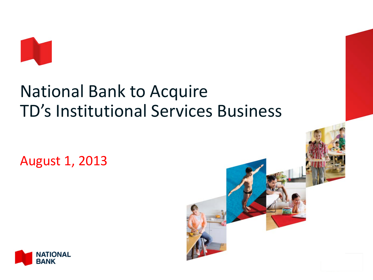

# National Bank to Acquire TD's Institutional Services Business

August 1, 2013



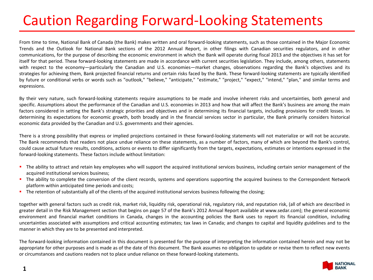## Caution Regarding Forward-Looking Statements

From time to time, National Bank of Canada (the Bank) makes written and oral forward-looking statements, such as those contained in the Major Economic Trends and the Outlook for National Bank sections of the 2012 Annual Report, in other filings with Canadian securities regulators, and in other communications, for the purpose of describing the economic environment in which the Bank will operate during fiscal 2013 and the objectives it has set for itself for that period. These forward-looking statements are made in accordance with current securities legislation. They include, among others, statements with respect to the economy—particularly the Canadian and U.S. economies—market changes, observations regarding the Bank's objectives and its strategies for achieving them, Bank projected financial returns and certain risks faced by the Bank. These forward-looking statements are typically identified by future or conditional verbs or words such as "outlook," "believe," "anticipate," "estimate," "project," "expect," "intend," "plan," and similar terms and expressions.

By their very nature, such forward-looking statements require assumptions to be made and involve inherent risks and uncertainties, both general and specific. Assumptions about the performance of the Canadian and U.S. economies in 2013 and how that will affect the Bank's business are among the main factors considered in setting the Bank's strategic priorities and objectives and in determining its financial targets, including provisions for credit losses. In determining its expectations for economic growth, both broadly and in the financial services sector in particular, the Bank primarily considers historical economic data provided by the Canadian and U.S. governments and their agencies.

There is a strong possibility that express or implied projections contained in these forward-looking statements will not materialize or will not be accurate. The Bank recommends that readers not place undue reliance on these statements, as a number of factors, many of which are beyond the Bank's control, could cause actual future results, conditions, actions or events to differ significantly from the targets, expectations, estimates or intentions expressed in the forward-looking statements. These factors include without limitation:

- The ability to attract and retain key employees who will support the acquired institutional services business, including certain senior management of the acquired institutional services business;
- The ability to complete the conversion of the client records, systems and operations supporting the acquired business to the Correspondent Network platform within anticipated time periods and costs;
- The retention of substantially all of the clients of the acquired institutional services business following the closing;

together with general factors such as credit risk, market risk, liquidity risk, operational risk, regulatory risk, and reputation risk, (all of which are described in greater detail in the Risk Management section that begins on page 57 of the Bank's 2012 Annual Report available at www.sedar.com); the general economic environment and financial market conditions in Canada, changes in the accounting policies the Bank uses to report its financial condition, including uncertainties associated with assumptions and critical accounting estimates; tax laws in Canada; and changes to capital and liquidity guidelines and to the manner in which they are to be presented and interpreted.

The forward-looking information contained in this document is presented for the purpose of interpreting the information contained herein and may not be appropriate for other purposes and is made as of the date of this document. The Bank assumes no obligation to update or revise them to reflect new events or circumstances and cautions readers not to place undue reliance on these forward-looking statements.

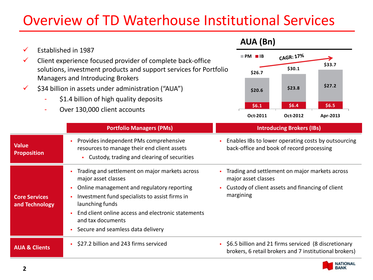## Overview of TD Waterhouse Institutional Services

| \$1.4 billion of high quality deposits<br>Over 130,000 client accounts |                                                                                                                                                                                                                                                                                                          | \$6.4\$<br>\$6.5<br>\$6.1<br>Oct-2011<br>Oct-2012<br>Apr-2013                                                                          |
|------------------------------------------------------------------------|----------------------------------------------------------------------------------------------------------------------------------------------------------------------------------------------------------------------------------------------------------------------------------------------------------|----------------------------------------------------------------------------------------------------------------------------------------|
|                                                                        | <b>Portfolio Managers (PMs)</b>                                                                                                                                                                                                                                                                          | <b>Introducing Brokers (IBs)</b>                                                                                                       |
| <b>Value</b><br><b>Proposition</b>                                     | Provides independent PMs comprehensive<br>resources to manage their end client assets<br>Custody, trading and clearing of securities<br>٠                                                                                                                                                                | Enables IBs to lower operating costs by outsourcing<br>back-office and book of record processing                                       |
| <b>Core Services</b><br>and Technology                                 | Trading and settlement on major markets across<br>major asset classes<br>Online management and regulatory reporting<br>Investment fund specialists to assist firms in<br>launching funds<br>End client online access and electronic statements<br>and tax documents<br>Secure and seamless data delivery | Trading and settlement on major markets across<br>major asset classes<br>Custody of client assets and financing of client<br>margining |
| <b>AUA &amp; Clients</b>                                               | \$27.2 billion and 243 firms serviced                                                                                                                                                                                                                                                                    | • \$6.5 billion and 21 firms serviced (8 discretionary<br>brokers, 6 retail brokers and 7 institutional brokers)                       |



**\$27.2 \$23.8 \$20.6** 

**\$33.7**<br>\$26.7 **\$30.1** \$33.7

≯

CAGR: 17%

**PM IB**

**AUA (Bn)**

 $\checkmark$  Established in 1987

 $\checkmark$  Client experience focused provider of complete back-office

Managers and Introducing Brokers

 $\checkmark$  \$34 billion in assets under administration ("AUA")

solutions, investment products and support services for Portfolio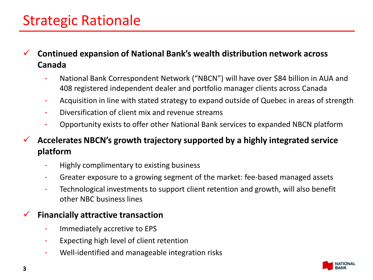## Strategic Rationale

 **Continued expansion of National Bank's wealth distribution network across Canada**

- National Bank Correspondent Network ("NBCN") will have over \$84 billion in AUA and 408 registered independent dealer and portfolio manager clients across Canada
- Acquisition in line with stated strategy to expand outside of Quebec in areas of strength
- Diversification of client mix and revenue streams
- Opportunity exists to offer other National Bank services to expanded NBCN platform

 **Accelerates NBCN's growth trajectory supported by a highly integrated service platform**

- Highly complimentary to existing business
- Greater exposure to a growing segment of the market: fee-based managed assets
- Technological investments to support client retention and growth, will also benefit other NBC business lines

#### **Financially attractive transaction**

- Immediately accretive to EPS
- Expecting high level of client retention
- Well-identified and manageable integration risks

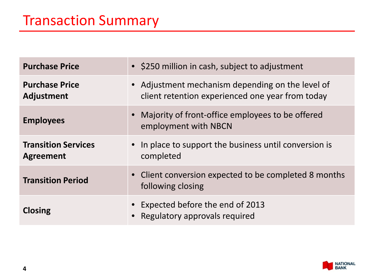| <b>Purchase Price</b>                          | • \$250 million in cash, subject to adjustment                                                       |  |
|------------------------------------------------|------------------------------------------------------------------------------------------------------|--|
| <b>Purchase Price</b><br><b>Adjustment</b>     | • Adjustment mechanism depending on the level of<br>client retention experienced one year from today |  |
| <b>Employees</b>                               | • Majority of front-office employees to be offered<br>employment with NBCN                           |  |
| <b>Transition Services</b><br><b>Agreement</b> | • In place to support the business until conversion is<br>completed                                  |  |
| <b>Transition Period</b>                       | • Client conversion expected to be completed 8 months<br>following closing                           |  |
| <b>Closing</b>                                 | • Expected before the end of 2013<br>• Regulatory approvals required                                 |  |

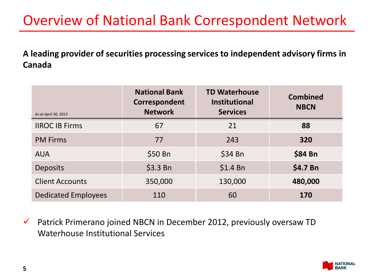## Overview of National Bank Correspondent Network

**A leading provider of securities processing services to independent advisory firms in Canada**

| As at April 30, 2013       | <b>National Bank</b><br>Correspondent<br><b>Network</b> | <b>TD Waterhouse</b><br><b>Institutional</b><br><b>Services</b> | <b>Combined</b><br><b>NBCN</b> |
|----------------------------|---------------------------------------------------------|-----------------------------------------------------------------|--------------------------------|
| <b>IIROC IB Firms</b>      | 67                                                      | 21                                                              | 88                             |
| <b>PM Firms</b>            | 77                                                      | 243                                                             | 320                            |
| <b>AUA</b>                 | \$50 Bn                                                 | $$34$ Bn                                                        | \$84 Bn                        |
| <b>Deposits</b>            | \$3.3 Bn                                                | $$1.4$ Bn                                                       | \$4.7 Bn                       |
| <b>Client Accounts</b>     | 350,000                                                 | 130,000                                                         | 480,000                        |
| <b>Dedicated Employees</b> | 110                                                     | 60                                                              | 170                            |

 $\checkmark$  Patrick Primerano joined NBCN in December 2012, previously oversaw TD Waterhouse Institutional Services

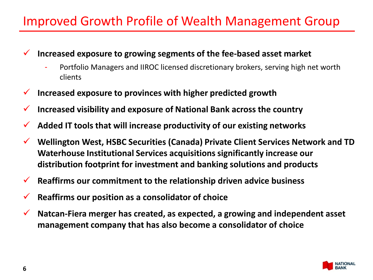### Improved Growth Profile of Wealth Management Group

- **Increased exposure to growing segments of the fee-based asset market**
	- Portfolio Managers and IIROC licensed discretionary brokers, serving high net worth clients
- **Increased exposure to provinces with higher predicted growth**
- **Increased visibility and exposure of National Bank across the country**
- **Added IT tools that will increase productivity of our existing networks**
- **Wellington West, HSBC Securities (Canada) Private Client Services Network and TD Waterhouse Institutional Services acquisitions significantly increase our distribution footprint for investment and banking solutions and products**
- **Reaffirms our commitment to the relationship driven advice business**
- **Reaffirms our position as a consolidator of choice**
- **Natcan-Fiera merger has created, as expected, a growing and independent asset management company that has also become a consolidator of choice**

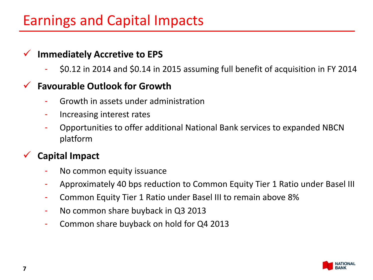## Earnings and Capital Impacts

### **Immediately Accretive to EPS**

- \$0.12 in 2014 and \$0.14 in 2015 assuming full benefit of acquisition in FY 2014

### **Favourable Outlook for Growth**

- Growth in assets under administration
- Increasing interest rates
- Opportunities to offer additional National Bank services to expanded NBCN platform

### **Capital Impact**

- No common equity issuance
- Approximately 40 bps reduction to Common Equity Tier 1 Ratio under Basel III
- Common Equity Tier 1 Ratio under Basel III to remain above 8%
- No common share buyback in Q3 2013
- Common share buyback on hold for Q4 2013